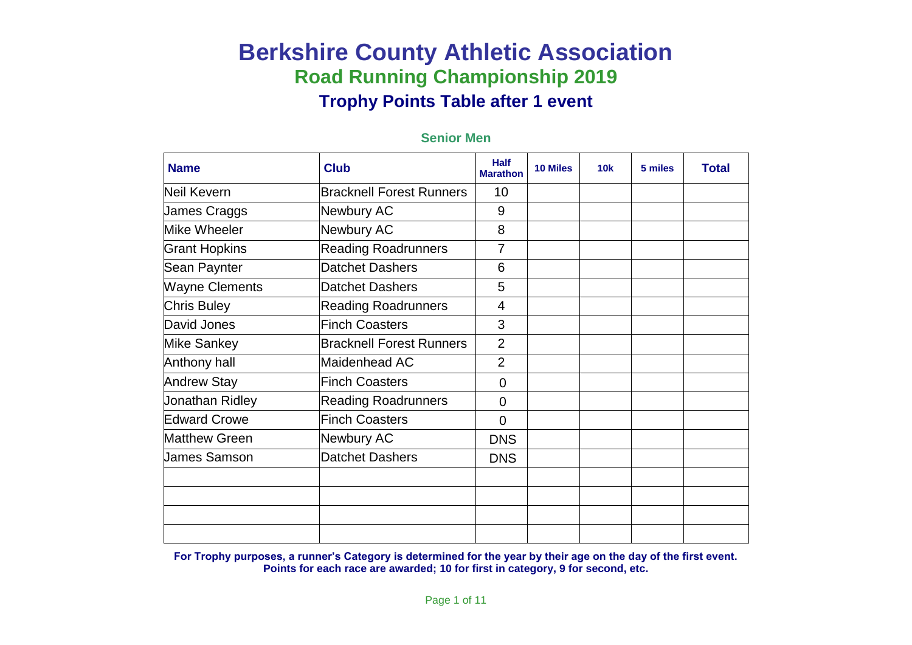| <b>Name</b>           | <b>Club</b>                     | <b>Half</b><br><b>Marathon</b> | <b>10 Miles</b> | 10k | 5 miles | <b>Total</b> |
|-----------------------|---------------------------------|--------------------------------|-----------------|-----|---------|--------------|
| <b>Neil Kevern</b>    | <b>Bracknell Forest Runners</b> | 10                             |                 |     |         |              |
| James Craggs          | Newbury AC                      | 9                              |                 |     |         |              |
| Mike Wheeler          | Newbury AC                      | 8                              |                 |     |         |              |
| <b>Grant Hopkins</b>  | <b>Reading Roadrunners</b>      | 7                              |                 |     |         |              |
| Sean Paynter          | Datchet Dashers                 | 6                              |                 |     |         |              |
| <b>Wayne Clements</b> | Datchet Dashers                 | 5                              |                 |     |         |              |
| <b>Chris Buley</b>    | <b>Reading Roadrunners</b>      | 4                              |                 |     |         |              |
| David Jones           | <b>Finch Coasters</b>           | 3                              |                 |     |         |              |
| <b>Mike Sankey</b>    | <b>Bracknell Forest Runners</b> | $\overline{2}$                 |                 |     |         |              |
| Anthony hall          | Maidenhead AC                   | $\overline{2}$                 |                 |     |         |              |
| <b>Andrew Stay</b>    | <b>Finch Coasters</b>           | 0                              |                 |     |         |              |
| Jonathan Ridley       | <b>Reading Roadrunners</b>      | $\overline{0}$                 |                 |     |         |              |
| <b>Edward Crowe</b>   | <b>Finch Coasters</b>           | $\overline{0}$                 |                 |     |         |              |
| <b>Matthew Green</b>  | Newbury AC                      | <b>DNS</b>                     |                 |     |         |              |
| <b>James Samson</b>   | Datchet Dashers                 | <b>DNS</b>                     |                 |     |         |              |
|                       |                                 |                                |                 |     |         |              |
|                       |                                 |                                |                 |     |         |              |
|                       |                                 |                                |                 |     |         |              |
|                       |                                 |                                |                 |     |         |              |

### **Senior Men**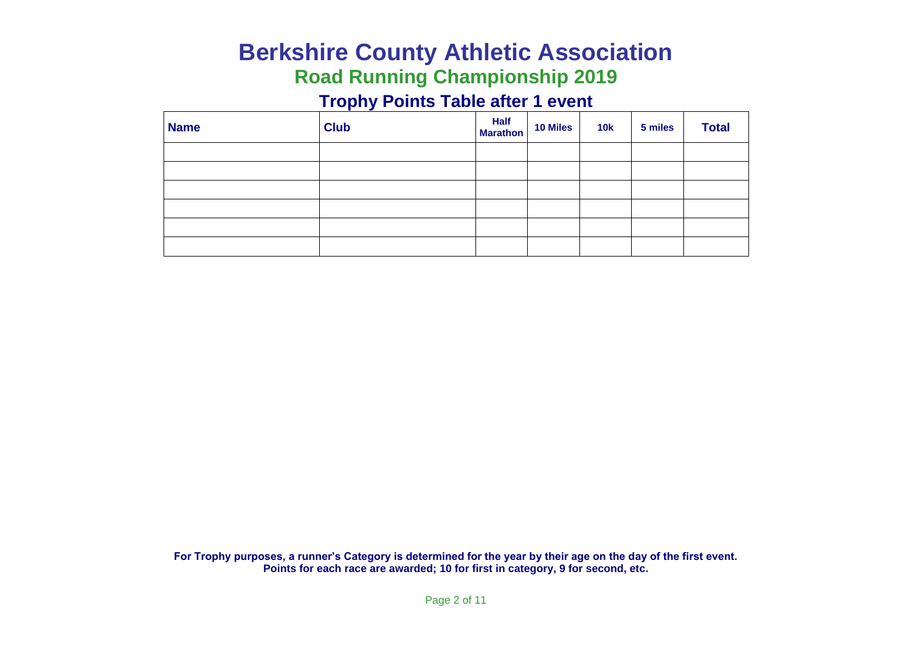# **Berkshire County Athletic Association Road Running Championship 2019**

### **Trophy Points Table after 1 event**

| <b>Name</b> | <b>Club</b> | Half<br>Marathon | <b>10 Miles</b> | <b>10k</b> | 5 miles | <b>Total</b> |
|-------------|-------------|------------------|-----------------|------------|---------|--------------|
|             |             |                  |                 |            |         |              |
|             |             |                  |                 |            |         |              |
|             |             |                  |                 |            |         |              |
|             |             |                  |                 |            |         |              |
|             |             |                  |                 |            |         |              |
|             |             |                  |                 |            |         |              |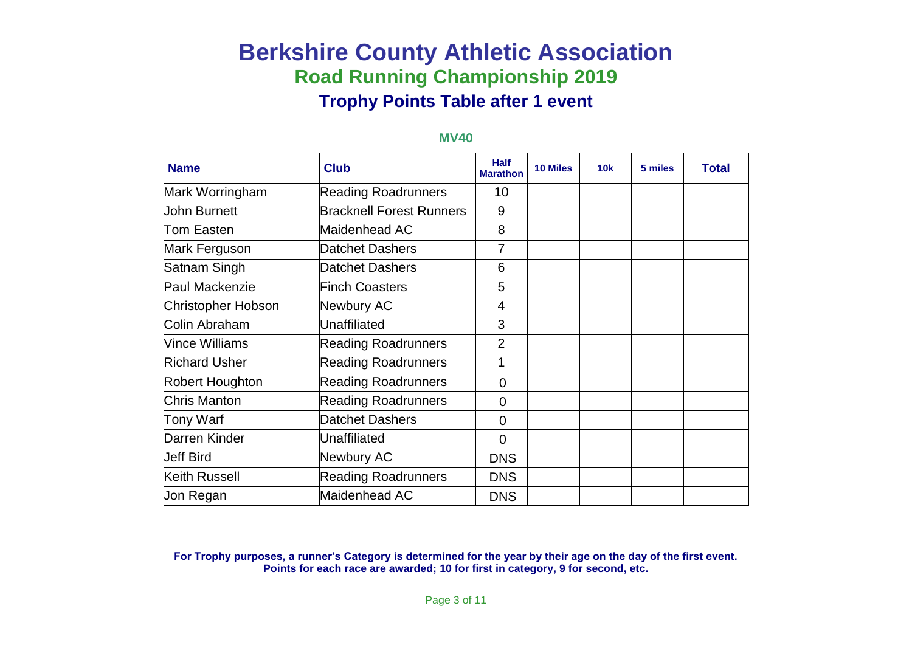| <b>Name</b>          | <b>Club</b>                     | <b>Half</b><br><b>Marathon</b> | <b>10 Miles</b> | 10k | 5 miles | <b>Total</b> |
|----------------------|---------------------------------|--------------------------------|-----------------|-----|---------|--------------|
| Mark Worringham      | <b>Reading Roadrunners</b>      | 10                             |                 |     |         |              |
| John Burnett         | <b>Bracknell Forest Runners</b> | 9                              |                 |     |         |              |
| Tom Easten           | Maidenhead AC                   | 8                              |                 |     |         |              |
| Mark Ferguson        | <b>Datchet Dashers</b>          | 7                              |                 |     |         |              |
| Satnam Singh         | <b>Datchet Dashers</b>          | 6                              |                 |     |         |              |
| Paul Mackenzie       | <b>Finch Coasters</b>           | $\overline{5}$                 |                 |     |         |              |
| Christopher Hobson   | <b>Newbury AC</b>               | $\overline{4}$                 |                 |     |         |              |
| Colin Abraham        | <b>Unaffiliated</b>             | 3                              |                 |     |         |              |
| Vince Williams       | <b>Reading Roadrunners</b>      | $\overline{2}$                 |                 |     |         |              |
| <b>Richard Usher</b> | <b>Reading Roadrunners</b>      | 1                              |                 |     |         |              |
| Robert Houghton      | <b>Reading Roadrunners</b>      | $\overline{0}$                 |                 |     |         |              |
| Chris Manton         | <b>Reading Roadrunners</b>      | $\overline{0}$                 |                 |     |         |              |
| Tony Warf            | <b>Datchet Dashers</b>          | $\overline{0}$                 |                 |     |         |              |
| Darren Kinder        | Unaffiliated                    | $\Omega$                       |                 |     |         |              |
| <b>Jeff Bird</b>     | Newbury AC                      | <b>DNS</b>                     |                 |     |         |              |
| Keith Russell        | <b>Reading Roadrunners</b>      | <b>DNS</b>                     |                 |     |         |              |
| Uon Regan            | Maidenhead AC                   | <b>DNS</b>                     |                 |     |         |              |

#### **MV40**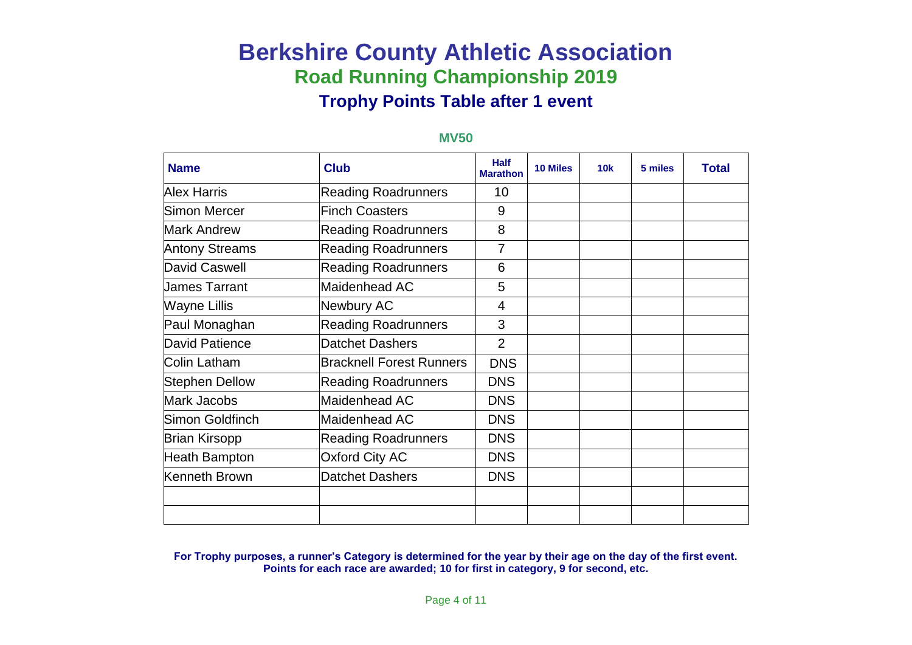### **Name Club Club Half Marathe Marathon 10 Miles 10k 5 miles Total** Alex Harris **Reading Roadrunners** 10 Simon Mercer **Finch Coasters** Product Assets Mark Andrew **Reading Roadrunners** 8 Antony Streams Reading Roadrunners | 7 David Caswell **Reading Roadrunners** 1 6 James Tarrant Maidenhead AC 5 Wayne Lillis **Newbury AC** 24 Paul Monaghan Reading Roadrunners | 3 David Patience **Datchet Dashers** 2 Colin Latham **Bracknell Forest Runners DNS** Stephen Dellow Reading Roadrunners | DNS Mark Jacobs Maidenhead AC DNS Simon Goldfinch Maidenhead AC DNS Brian Kirsopp Reading Roadrunners DNS Heath Bampton **C** | Oxford City AC | DNS Kenneth Brown **Datchet Dashers DNS**

#### **MV50**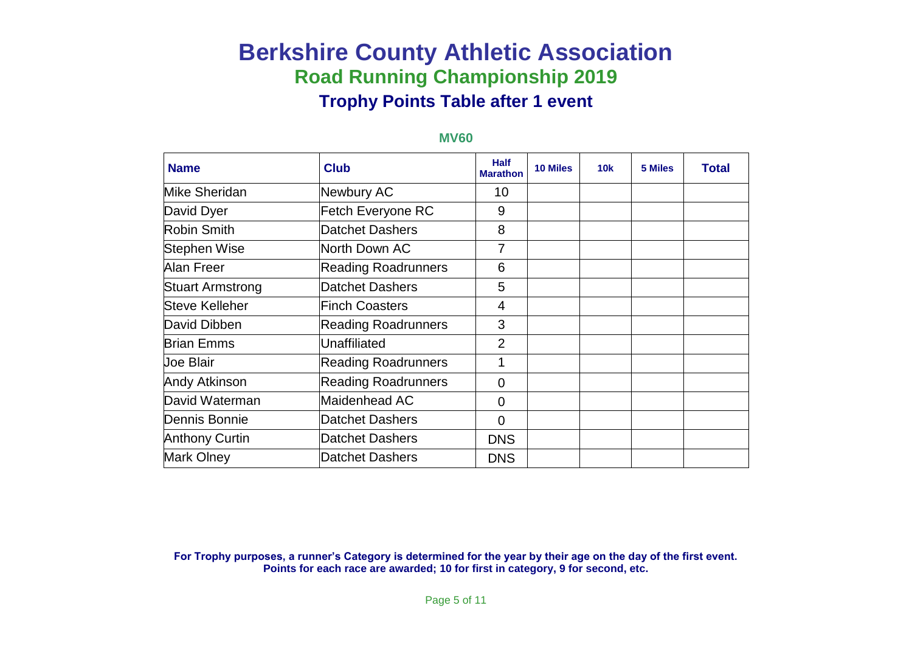| <b>Name</b>             | <b>Club</b>                | <b>Half</b><br><b>Marathon</b> | <b>10 Miles</b> | 10k | <b>5 Miles</b> | <b>Total</b> |
|-------------------------|----------------------------|--------------------------------|-----------------|-----|----------------|--------------|
| Mike Sheridan           | Newbury AC                 | 10                             |                 |     |                |              |
| David Dyer              | Fetch Everyone RC          | 9                              |                 |     |                |              |
| Robin Smith             | <b>Datchet Dashers</b>     | 8                              |                 |     |                |              |
| Stephen Wise            | North Down AC              | 7                              |                 |     |                |              |
| Alan Freer              | <b>Reading Roadrunners</b> | 6                              |                 |     |                |              |
| <b>Stuart Armstrong</b> | <b>Datchet Dashers</b>     | 5                              |                 |     |                |              |
| Steve Kelleher          | <b>Finch Coasters</b>      | 4                              |                 |     |                |              |
| David Dibben            | <b>Reading Roadrunners</b> | 3                              |                 |     |                |              |
| <b>Brian Emms</b>       | Unaffiliated               | $\overline{2}$                 |                 |     |                |              |
| <b>Joe Blair</b>        | <b>Reading Roadrunners</b> | 1                              |                 |     |                |              |
| <b>Andy Atkinson</b>    | <b>Reading Roadrunners</b> | 0                              |                 |     |                |              |
| David Waterman          | Maidenhead AC              | 0                              |                 |     |                |              |
| Dennis Bonnie           | <b>Datchet Dashers</b>     | 0                              |                 |     |                |              |
| <b>Anthony Curtin</b>   | <b>Datchet Dashers</b>     | <b>DNS</b>                     |                 |     |                |              |
| Mark Olney              | <b>Datchet Dashers</b>     | <b>DNS</b>                     |                 |     |                |              |

#### **MV60**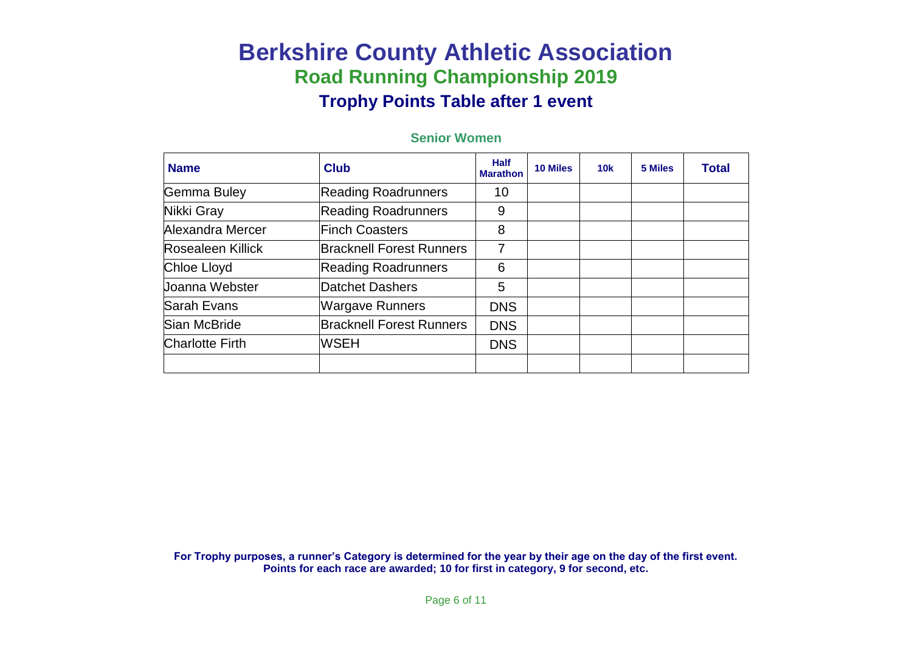| <b>Name</b>            | <b>Club</b>                     | <b>Half</b><br><b>Marathon</b> | 10 Miles | 10k | 5 Miles | <b>Total</b> |
|------------------------|---------------------------------|--------------------------------|----------|-----|---------|--------------|
| Gemma Buley            | <b>Reading Roadrunners</b>      | 10                             |          |     |         |              |
| Nikki Gray             | <b>Reading Roadrunners</b>      | 9                              |          |     |         |              |
| Alexandra Mercer       | Finch Coasters                  | 8                              |          |     |         |              |
| Rosealeen Killick      | <b>Bracknell Forest Runners</b> | 7                              |          |     |         |              |
| Chloe Lloyd            | <b>Reading Roadrunners</b>      | 6                              |          |     |         |              |
| Uoanna Webster         | Datchet Dashers                 | 5                              |          |     |         |              |
| Sarah Evans            | <b>Wargave Runners</b>          | <b>DNS</b>                     |          |     |         |              |
| Sian McBride           | <b>Bracknell Forest Runners</b> | <b>DNS</b>                     |          |     |         |              |
| <b>Charlotte Firth</b> | <b>WSEH</b>                     | <b>DNS</b>                     |          |     |         |              |
|                        |                                 |                                |          |     |         |              |

### **Senior Women**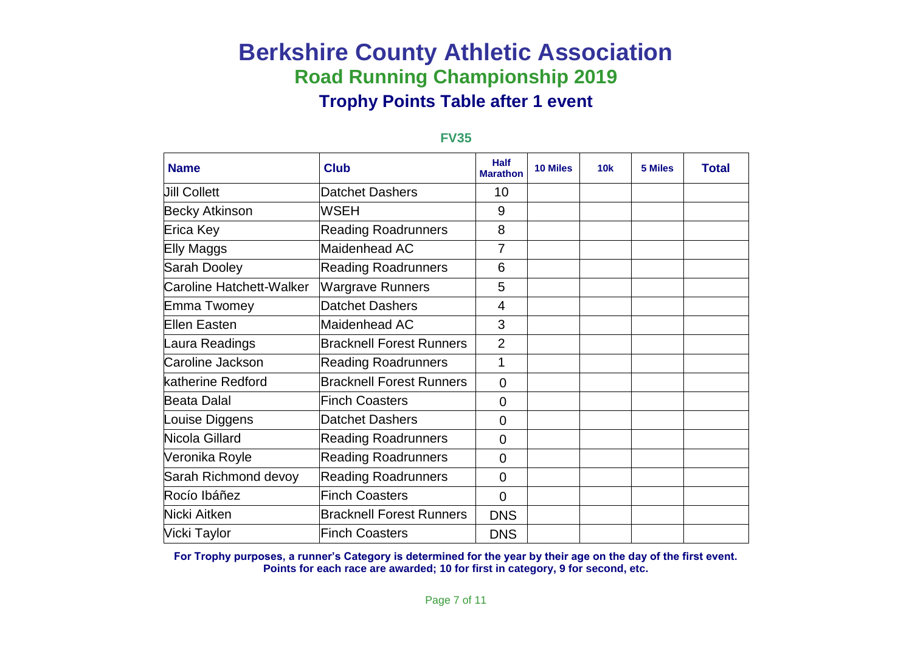| <b>Name</b>              | <b>Club</b>                     | <b>Half</b><br><b>Marathon</b> | <b>10 Miles</b> | 10k | 5 Miles | <b>Total</b> |
|--------------------------|---------------------------------|--------------------------------|-----------------|-----|---------|--------------|
| <b>Jill Collett</b>      | <b>Datchet Dashers</b>          | 10                             |                 |     |         |              |
| <b>Becky Atkinson</b>    | <b>WSEH</b>                     | 9                              |                 |     |         |              |
| Erica Key                | <b>Reading Roadrunners</b>      | 8                              |                 |     |         |              |
| Elly Maggs               | Maidenhead AC                   | 7                              |                 |     |         |              |
| Sarah Dooley             | <b>Reading Roadrunners</b>      | 6                              |                 |     |         |              |
| Caroline Hatchett-Walker | <b>Wargrave Runners</b>         | 5                              |                 |     |         |              |
| Emma Twomey              | <b>Datchet Dashers</b>          | 4                              |                 |     |         |              |
| Ellen Easten             | Maidenhead AC                   | 3                              |                 |     |         |              |
| Laura Readings           | <b>Bracknell Forest Runners</b> | $\overline{2}$                 |                 |     |         |              |
| Caroline Jackson         | <b>Reading Roadrunners</b>      | 1                              |                 |     |         |              |
| katherine Redford        | <b>Bracknell Forest Runners</b> | $\Omega$                       |                 |     |         |              |
| Beata Dalal              | <b>Finch Coasters</b>           | $\overline{0}$                 |                 |     |         |              |
| Louise Diggens           | <b>Datchet Dashers</b>          | $\overline{0}$                 |                 |     |         |              |
| Nicola Gillard           | <b>Reading Roadrunners</b>      | $\overline{0}$                 |                 |     |         |              |
| Veronika Royle           | <b>Reading Roadrunners</b>      | $\overline{0}$                 |                 |     |         |              |
| Sarah Richmond devoy     | <b>Reading Roadrunners</b>      | $\overline{0}$                 |                 |     |         |              |
| Rocío Ibáñez             | <b>Finch Coasters</b>           | $\overline{0}$                 |                 |     |         |              |
| Nicki Aitken             | <b>Bracknell Forest Runners</b> | <b>DNS</b>                     |                 |     |         |              |
| Vicki Taylor             | <b>Finch Coasters</b>           | <b>DNS</b>                     |                 |     |         |              |

### **FV35**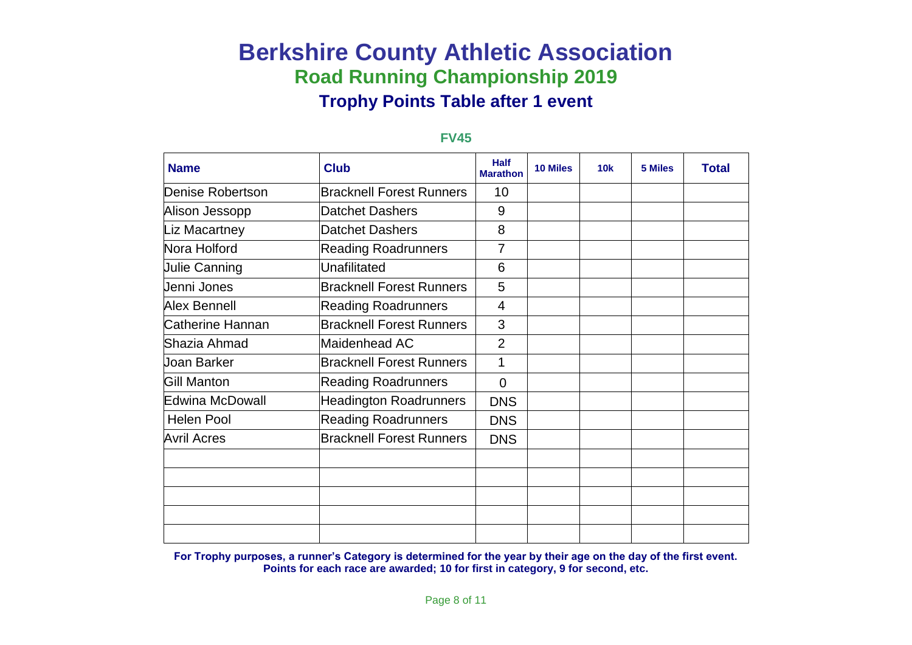| <b>Name</b>          | <b>Club</b>                     | <b>Half</b><br><b>Marathon</b> | <b>10 Miles</b> | <b>10k</b> | 5 Miles | <b>Total</b> |
|----------------------|---------------------------------|--------------------------------|-----------------|------------|---------|--------------|
| Denise Robertson     | <b>Bracknell Forest Runners</b> | 10                             |                 |            |         |              |
| Alison Jessopp       | <b>Datchet Dashers</b>          | 9                              |                 |            |         |              |
| Liz Macartney        | <b>Datchet Dashers</b>          | 8                              |                 |            |         |              |
| Nora Holford         | <b>Reading Roadrunners</b>      | $\overline{7}$                 |                 |            |         |              |
| <b>Julie Canning</b> | Unafilitated                    | 6                              |                 |            |         |              |
| Jenni Jones          | <b>Bracknell Forest Runners</b> | 5                              |                 |            |         |              |
| Alex Bennell         | <b>Reading Roadrunners</b>      | 4                              |                 |            |         |              |
| Catherine Hannan     | <b>Bracknell Forest Runners</b> | 3                              |                 |            |         |              |
| Shazia Ahmad         | Maidenhead AC                   | $\overline{2}$                 |                 |            |         |              |
| <b>Joan Barker</b>   | <b>Bracknell Forest Runners</b> | 1                              |                 |            |         |              |
| Gill Manton          | <b>Reading Roadrunners</b>      | $\Omega$                       |                 |            |         |              |
| Edwina McDowall      | <b>Headington Roadrunners</b>   | <b>DNS</b>                     |                 |            |         |              |
| <b>Helen Pool</b>    | <b>Reading Roadrunners</b>      | <b>DNS</b>                     |                 |            |         |              |
| <b>Avril Acres</b>   | <b>Bracknell Forest Runners</b> | <b>DNS</b>                     |                 |            |         |              |
|                      |                                 |                                |                 |            |         |              |
|                      |                                 |                                |                 |            |         |              |
|                      |                                 |                                |                 |            |         |              |
|                      |                                 |                                |                 |            |         |              |
|                      |                                 |                                |                 |            |         |              |

### **FV45**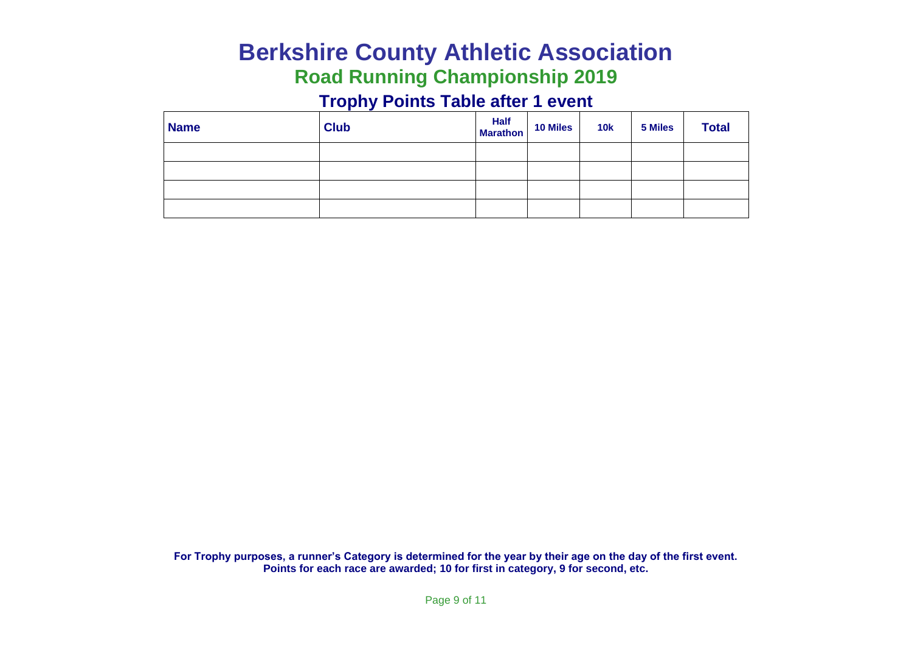# **Berkshire County Athletic Association Road Running Championship 2019**

### **Trophy Points Table after 1 event**

| <b>Name</b> | <b>Club</b> | <b>Half</b> 10 Miles | <b>10k</b> | 5 Miles | <b>Total</b> |
|-------------|-------------|----------------------|------------|---------|--------------|
|             |             |                      |            |         |              |
|             |             |                      |            |         |              |
|             |             |                      |            |         |              |
|             |             |                      |            |         |              |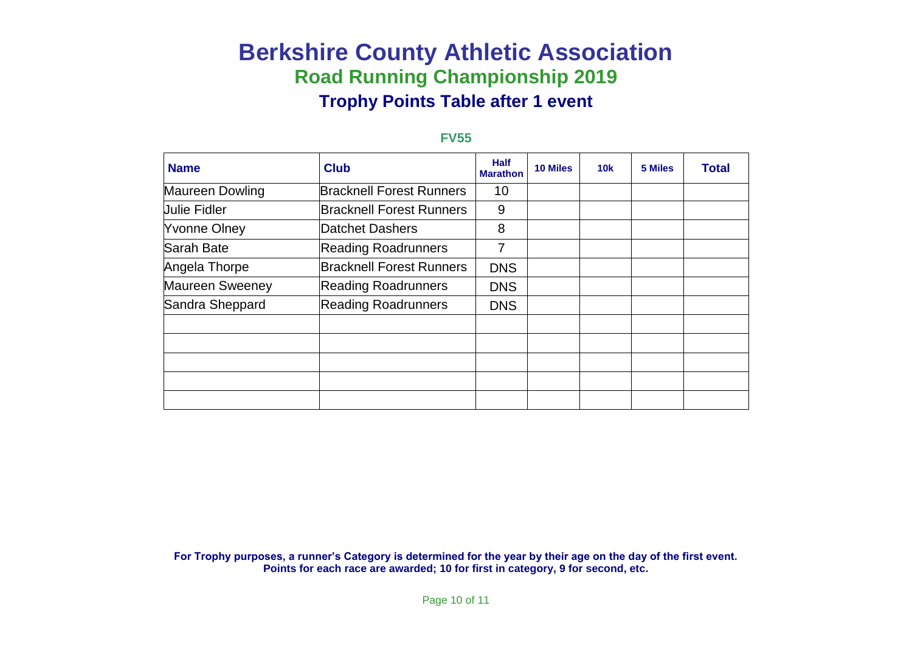#### **FV55**

| <b>Name</b>            | <b>Club</b>                     | <b>Half</b><br><b>Marathon</b> | <b>10 Miles</b> | 10k | 5 Miles | <b>Total</b> |
|------------------------|---------------------------------|--------------------------------|-----------------|-----|---------|--------------|
| Maureen Dowling        | <b>Bracknell Forest Runners</b> | 10                             |                 |     |         |              |
| <b>Julie Fidler</b>    | <b>Bracknell Forest Runners</b> | 9                              |                 |     |         |              |
| <b>Yvonne Olney</b>    | Datchet Dashers                 | 8                              |                 |     |         |              |
| Sarah Bate             | <b>Reading Roadrunners</b>      | 7                              |                 |     |         |              |
| Angela Thorpe          | <b>Bracknell Forest Runners</b> | <b>DNS</b>                     |                 |     |         |              |
| <b>Maureen Sweeney</b> | <b>Reading Roadrunners</b>      | <b>DNS</b>                     |                 |     |         |              |
| Sandra Sheppard        | <b>Reading Roadrunners</b>      | <b>DNS</b>                     |                 |     |         |              |
|                        |                                 |                                |                 |     |         |              |
|                        |                                 |                                |                 |     |         |              |
|                        |                                 |                                |                 |     |         |              |
|                        |                                 |                                |                 |     |         |              |
|                        |                                 |                                |                 |     |         |              |